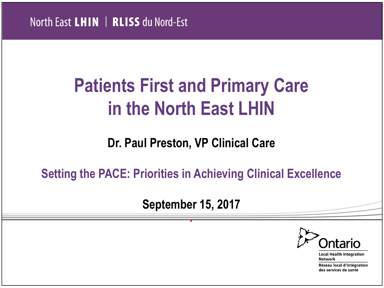## **Patients First and Primary Care in the North East LHIN**

#### **Dr. Paul Preston, VP Clinical Care**

**Setting the PACE: Priorities in Achieving Clinical Excellence**

**September 15, 2017**

*.*



**Local Health Integration Network** Réseau local d'intégration

des services de santé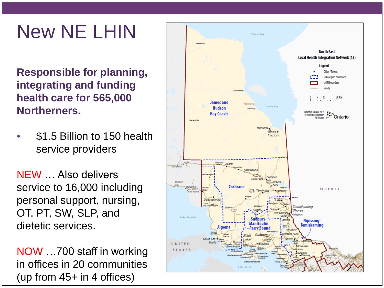## New NE LHIN

**Responsible for planning, integrating and funding health care for 565,000 Northerners.**

• \$1.5 Billion to 150 health service providers

NEW … Also delivers service to 16,000 including personal support, nursing, OT, PT, SW, SLP, and dietetic services.

NOW …700 staff in working in offices in 20 communities (up from 45+ in 4 offices)

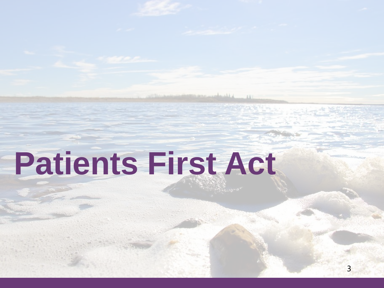# **Patients First Act**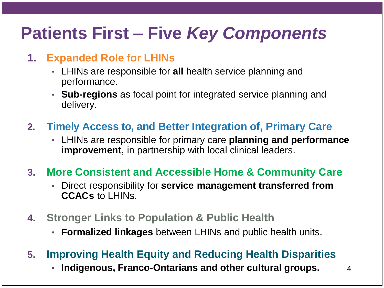### **Patients First – Five** *Key Components*

#### **1. Expanded Role for LHINs**

- LHINs are responsible for **all** health service planning and performance.
- **Sub-regions** as focal point for integrated service planning and delivery.
- **2. Timely Access to, and Better Integration of, Primary Care** 
	- LHINs are responsible for primary care **planning and performance improvement**, in partnership with local clinical leaders.
- **3. More Consistent and Accessible Home & Community Care** 
	- Direct responsibility for **service management transferred from CCACs** to LHINs.
- **4. Stronger Links to Population & Public Health** 
	- **Formalized linkages** between LHINs and public health units.
- **5. Improving Health Equity and Reducing Health Disparities**
	- **Indigenous, Franco-Ontarians and other cultural groups.** 4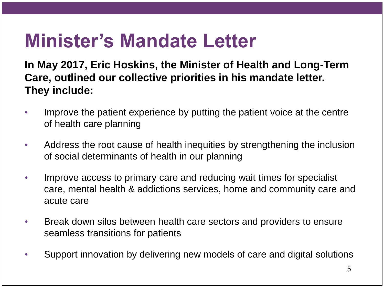## **Minister's Mandate Letter**

**In May 2017, Eric Hoskins, the Minister of Health and Long-Term Care, outlined our collective priorities in his mandate letter. They include:** 

- Improve the patient experience by putting the patient voice at the centre of health care planning
- Address the root cause of health inequities by strengthening the inclusion of social determinants of health in our planning
- Improve access to primary care and reducing wait times for specialist care, mental health & addictions services, home and community care and acute care
- Break down silos between health care sectors and providers to ensure seamless transitions for patients
- Support innovation by delivering new models of care and digital solutions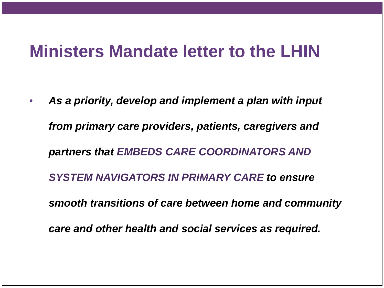#### **Ministers Mandate letter to the LHIN**

• *As a priority, develop and implement a plan with input from primary care providers, patients, caregivers and partners that EMBEDS CARE COORDINATORS AND SYSTEM NAVIGATORS IN PRIMARY CARE to ensure smooth transitions of care between home and community care and other health and social services as required.*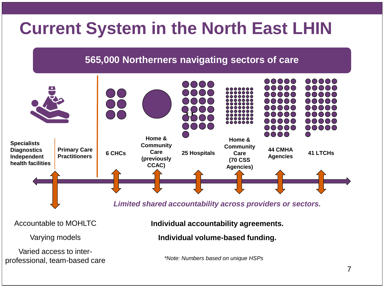#### **Current System in the North East LHIN**

#### **565,000 Northerners navigating sectors of care**



Accountable to MOHLTC

Varying models

Varied access to interprofessional, team-based care **Individual accountability agreements.**

**Individual volume-based funding.**

*\*Note: Numbers based on unique HSPs*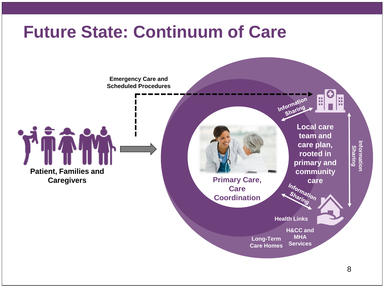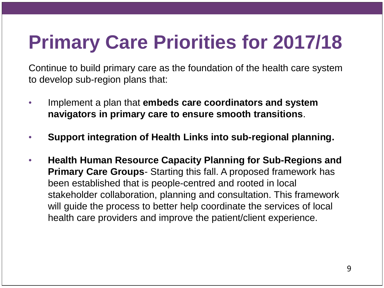## **Primary Care Priorities for 2017/18**

Continue to build primary care as the foundation of the health care system to develop sub-region plans that:

- Implement a plan that **embeds care coordinators and system navigators in primary care to ensure smooth transitions**.
- **Support integration of Health Links into sub-regional planning.**
- **Health Human Resource Capacity Planning for Sub-Regions and Primary Care Groups**- Starting this fall. A proposed framework has been established that is people-centred and rooted in local stakeholder collaboration, planning and consultation. This framework will guide the process to better help coordinate the services of local health care providers and improve the patient/client experience.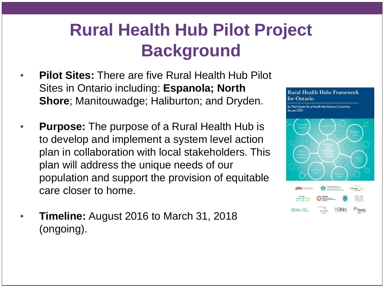#### **Rural Health Hub Pilot Project Background**

- **Pilot Sites:** There are five Rural Health Hub Pilot Sites in Ontario including: **Espanola; North Shore**; Manitouwadge; Haliburton; and Dryden.
- **Purpose:** The purpose of a Rural Health Hub is to develop and implement a system level action plan in collaboration with local stakeholders. This plan will address the unique needs of our population and support the provision of equitable care closer to home.
- **Timeline:** August 2016 to March 31, 2018 (ongoing).